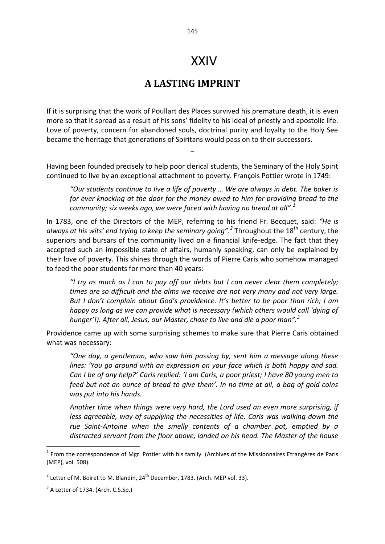## XXIV

## **A LASTING IMPRINT**

If it is surprising that the work of Poullart des Places survived his premature death, it is even more so that it spread as a result of his sons' fidelity to his ideal of priestly and apostolic life. Love of poverty, concern for abandoned souls, doctrinal purity and loyalty to the Holy See became the heritage that generations of Spiritans would pass on to their successors.

Having been founded precisely to help poor clerical students, the Seminary of the Holy Spirit continued to live by an exceptional attachment to poverty. François Pottier wrote in 1749:

 $\sim$ 

*"Our students continue to live a life of poverty … We are always in debt. The baker is for ever knocking at the door for the money owed to him for providing bread to the community; six weeks ago, we were faced with having no bread at all".<sup>1</sup>* 

In 1783, one of the Directors of the MEP, referring to his friend Fr. Becquet, said: *"He is always at his wits' end trying to keep the seminary going".<sup>2</sup>* Throughout the 18th century, the superiors and bursars of the community lived on a financial knife-edge. The fact that they accepted such an impossible state of affairs, humanly speaking, can only be explained by their love of poverty. This shines through the words of Pierre Caris who somehow managed to feed the poor students for more than 40 years:

*"I try as much as I can to pay off our debts but I can never clear them completely; times are so difficult and the alms we receive are not very many and not very large. But I don't complain about God's providence. It's better to be poor than rich; I am happy as long as we can provide what is necessary (which others would call 'dying of hunger'!). After all, Jesus, our Master, chose to live and die a poor man".<sup>3</sup>* 

Providence came up with some surprising schemes to make sure that Pierre Caris obtained what was necessary:

*"One day, a gentleman, who saw him passing by, sent him a message along these*  lines: 'You go around with an expression on your face which is both happy and sad. *Can I be of any help?' Caris replied: 'I am Caris, a poor priest; I have 80 young men to feed but not an ounce of bread to give them'. In no time at all, a bag of gold coins was put into his hands.* 

*Another time when things were very hard, the Lord used an even more surprising, if less agreeable, way of supplying the necessities of life. Caris was walking down the rue Saint-Antoine when the smelly contents of a chamber pot, emptied by a distracted servant from the floor above, landed on his head. The Master of the house* 

 $\overline{a}$ 

 $<sup>1</sup>$  From the correspondence of Mgr. Pottier with his family. (Archives of the Missionnaires Etrangères de Paris</sup> (MEP), vol. 508).

<sup>&</sup>lt;sup>2</sup> Letter of M. Boiret to M. Blandin, 24<sup>th</sup> December, 1783. (Arch. MEP vol. 33).

 $3$  A Letter of 1734. (Arch. C.S.Sp.)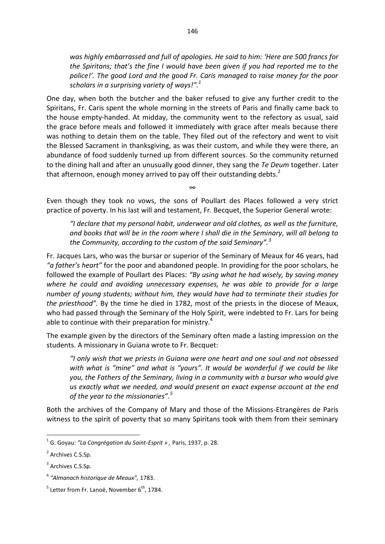*was highly embarrassed and full of apologies. He said to him: 'Here are 500 francs for the Spiritans; that's the fine I would have been given if you had reported me to the police!'. The good Lord and the good Fr. Caris managed to raise money for the poor scholars in a surprising variety of ways!".<sup>1</sup>* 

One day, when both the butcher and the baker refused to give any further credit to the Spiritans, Fr. Caris spent the whole morning in the streets of Paris and finally came back to the house empty-handed. At midday, the community went to the refectory as usual, said the grace before meals and followed it immediately with grace after meals because there was nothing to detain them on the table. They filed out of the refectory and went to visit the Blessed Sacrament in thanksgiving, as was their custom, and while they were there, an abundance of food suddenly turned up from different sources. So the community returned to the dining hall and after an unusually good dinner, they sang the *Te Deum* together. Later that afternoon, enough money arrived to pay off their outstanding debts.<sup>2</sup>

Even though they took no vows, the sons of Poullart des Places followed a very strict practice of poverty. In his last will and testament, Fr. Becquet, the Superior General wrote:

∞

*"I declare that my personal habit, underwear and old clothes, as well as the furniture, and books that will be in the room where I shall die in the Seminary, will all belong to the Community, according to the custom of the said Seminary".<sup>3</sup>* 

Fr. Jacques Lars, who was the bursar or superior of the Seminary of Meaux for 46 years, had *"a father's heart"* for the poor and abandoned people. In providing for the poor scholars, he followed the example of Poullart des Places: *"By using what he had wisely, by saving money where he could and avoiding unnecessary expenses, he was able to provide for a large number of young students; without him, they would have had to terminate their studies for the priesthood".* By the time he died in 1782, most of the priests in the diocese of Meaux, who had passed through the Seminary of the Holy Spirit, were indebted to Fr. Lars for being able to continue with their preparation for ministry.<sup>4</sup>

The example given by the directors of the Seminary often made a lasting impression on the students. A missionary in Guiana wrote to Fr. Becquet:

*"I only wish that we priests in Guiana were one heart and one soul and not obsessed with what is "mine" and what is "yours". It would be wonderful if we could be like you, the Fathers of the Seminary, living in a community with a bursar who would give us exactly what we needed, and would present an exact expense account at the end of the year to the missionaries".<sup>5</sup>* 

Both the archives of the Company of Mary and those of the Missions-Etrangères de Paris witness to the spirit of poverty that so many Spiritans took with them from their seminary

1

<sup>1</sup> G. Goyau: *"La Congrégation du Saint-Esprit » ,* Paris, 1937, p. 28.

<sup>&</sup>lt;sup>2</sup> Archives C.S.Sp.

<sup>&</sup>lt;sup>3</sup> Archives C.S.Sp.

<sup>4</sup> *"Almanach historique de Meaux",* 1783.

 $<sup>5</sup>$  Letter from Fr. Lanoë, November 6<sup>th</sup>, 1784.</sup>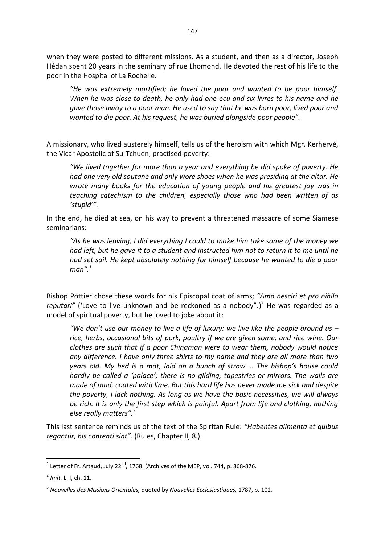when they were posted to different missions. As a student, and then as a director, Joseph Hédan spent 20 years in the seminary of rue Lhomond. He devoted the rest of his life to the poor in the Hospital of La Rochelle.

*"He was extremely mortified; he loved the poor and wanted to be poor himself. When he was close to death, he only had one ecu and six livres to his name and he gave those away to a poor man. He used to say that he was born poor, lived poor and wanted to die poor. At his request, he was buried alongside poor people".* 

A missionary, who lived austerely himself, tells us of the heroism with which Mgr. Kerhervé, the Vicar Apostolic of Su-Tchuen, practised poverty:

*"We lived together for more than a year and everything he did spoke of poverty. He had one very old soutane and only wore shoes when he was presiding at the altar. He wrote many books for the education of young people and his greatest joy was in teaching catechism to the children, especially those who had been written of as 'stupid'".* 

In the end, he died at sea, on his way to prevent a threatened massacre of some Siamese seminarians:

*"As he was leaving, I did everything I could to make him take some of the money we had left, but he gave it to a student and instructed him not to return it to me until he had set sail. He kept absolutely nothing for himself because he wanted to die a poor man".<sup>1</sup>* 

Bishop Pottier chose these words for his Episcopal coat of arms; *"Ama nesciri et pro nihilo*  reputari" ('Love to live unknown and be reckoned as a nobody".)<sup>2</sup> He was regarded as a model of spiritual poverty, but he loved to joke about it:

*"We don't use our money to live a life of luxury: we live like the people around us – rice, herbs, occasional bits of pork, poultry if we are given some, and rice wine. Our clothes are such that if a poor Chinaman were to wear them, nobody would notice any difference. I have only three shirts to my name and they are all more than two years old. My bed is a mat, laid on a bunch of straw … The bishop's house could hardly be called a 'palace'; there is no gilding, tapestries or mirrors. The walls are made of mud, coated with lime. But this hard life has never made me sick and despite the poverty, I lack nothing. As long as we have the basic necessities, we will always be rich. It is only the first step which is painful. Apart from life and clothing, nothing else really matters".<sup>3</sup>* 

This last sentence reminds us of the text of the Spiritan Rule: *"Habentes alimenta et quibus tegantur, his contenti sint".* (Rules, Chapter II, 8.).

 $\frac{1}{1}$ Letter of Fr. Artaud, July 22 $^{\mathsf{nd}}$ , 1768. (Archives of the MEP, vol. 744, p. 868-876.

<sup>2</sup> *Imit.* L. I, ch. 11.

<sup>3</sup> *Nouvelles des Missions Orientales,* quoted by *Nouvelles Ecclesiastiques,* 1787, p. 102*.*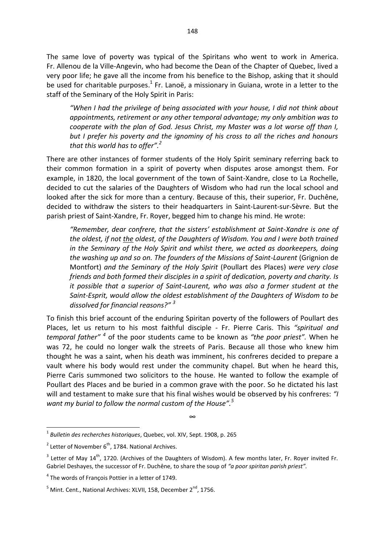The same love of poverty was typical of the Spiritans who went to work in America. Fr. Allenou de la Ville-Angevin, who had become the Dean of the Chapter of Quebec, lived a very poor life; he gave all the income from his benefice to the Bishop, asking that it should be used for charitable purposes.<sup>1</sup> Fr. Lanoë, a missionary in Guiana, wrote in a letter to the staff of the Seminary of the Holy Spirit in Paris:

*"When I had the privilege of being associated with your house, I did not think about appointments, retirement or any other temporal advantage; my only ambition was to cooperate with the plan of God. Jesus Christ, my Master was a lot worse off than I, but I prefer his poverty and the ignominy of his cross to all the riches and honours that this world has to offer".<sup>2</sup>*

There are other instances of former students of the Holy Spirit seminary referring back to their common formation in a spirit of poverty when disputes arose amongst them. For example, in 1820, the local government of the town of Saint-Xandre, close to La Rochelle, decided to cut the salaries of the Daughters of Wisdom who had run the local school and looked after the sick for more than a century. Because of this, their superior, Fr. Duchêne, decided to withdraw the sisters to their headquarters in Saint-Laurent-sur-Sèvre. But the parish priest of Saint-Xandre, Fr. Royer, begged him to change his mind. He wrote:

*"Remember, dear confrere, that the sisters' establishment at Saint-Xandre is one of the oldest, if not the oldest, of the Daughters of Wisdom. You and I were both trained in the Seminary of the Holy Spirit and whilst there, we acted as doorkeepers, doing the washing up and so on. The founders of the Missions of Saint-Laurent* (Grignion de Montfort) *and the Seminary of the Holy Spirit* (Poullart des Places) *were very close friends and both formed their disciples in a spirit of dedication, poverty and charity. Is it possible that a superior of Saint-Laurent, who was also a former student at the Saint-Esprit, would allow the oldest establishment of the Daughters of Wisdom to be dissolved for financial reasons?" <sup>3</sup>* 

To finish this brief account of the enduring Spiritan poverty of the followers of Poullart des Places, let us return to his most faithful disciple - Fr. Pierre Caris. This *"spiritual and temporal father" <sup>4</sup>* of the poor students came to be known as *"the poor priest".* When he was 72, he could no longer walk the streets of Paris. Because all those who knew him thought he was a saint, when his death was imminent, his confreres decided to prepare a vault where his body would rest under the community chapel. But when he heard this, Pierre Caris summoned two solicitors to the house. He wanted to follow the example of Poullart des Places and be buried in a common grave with the poor. So he dictated his last will and testament to make sure that his final wishes would be observed by his confreres: *"I want my burial to follow the normal custom of the House".<sup>5</sup>*

∞

**.** 

<sup>1</sup> *Bulletin des recherches historiques*, Quebec, vol. XIV, Sept. 1908, p. 265

<sup>&</sup>lt;sup>2</sup> Letter of November  $6<sup>th</sup>$ , 1784. National Archives.

 $3$  Letter of May 14<sup>th</sup>, 1720. (Archives of the Daughters of Wisdom). A few months later, Fr. Royer invited Fr. Gabriel Deshayes, the successor of Fr. Duchêne, to share the soup of *"a poor spiritan parish priest".* 

<sup>&</sup>lt;sup>4</sup> The words of François Pottier in a letter of 1749.

 $^5$  Mint. Cent., National Archives: XLVII, 158, December 2<sup>nd</sup>, 1756.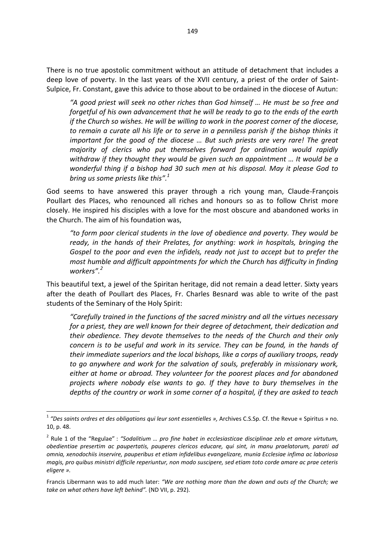There is no true apostolic commitment without an attitude of detachment that includes a deep love of poverty. In the last years of the XVII century, a priest of the order of Saint-Sulpice, Fr. Constant, gave this advice to those about to be ordained in the diocese of Autun:

*"A good priest will seek no other riches than God himself … He must be so free and forgetful of his own advancement that he will be ready to go to the ends of the earth if the Church so wishes. He will be willing to work in the poorest corner of the diocese, to remain a curate all his life or to serve in a penniless parish if the bishop thinks it important for the good of the diocese ... But such priests are very rare! The great majority of clerics who put themselves forward for ordination would rapidly withdraw if they thought they would be given such an appointment … It would be a wonderful thing if a bishop had 30 such men at his disposal. May it please God to bring us some priests like this".<sup>1</sup>* 

God seems to have answered this prayer through a rich young man, Claude-François Poullart des Places, who renounced all riches and honours so as to follow Christ more closely. He inspired his disciples with a love for the most obscure and abandoned works in the Church. The aim of his foundation was,

*"to form poor clerical students in the love of obedience and poverty. They would be ready, in the hands of their Prelates, for anything: work in hospitals, bringing the Gospel to the poor and even the infidels, ready not just to accept but to prefer the most humble and difficult appointments for which the Church has difficulty in finding workers".<sup>2</sup>* 

This beautiful text, a jewel of the Spiritan heritage, did not remain a dead letter. Sixty years after the death of Poullart des Places, Fr. Charles Besnard was able to write of the past students of the Seminary of the Holy Spirit:

*"Carefully trained in the functions of the sacred ministry and all the virtues necessary for a priest, they are well known for their degree of detachment, their dedication and their obedience. They devote themselves to the needs of the Church and their only concern is to be useful and work in its service. They can be found, in the hands of their immediate superiors and the local bishops, like a corps of auxiliary troops, ready to go anywhere and work for the salvation of souls, preferably in missionary work, either at home or abroad. They volunteer for the poorest places and for abandoned projects where nobody else wants to go. If they have to bury themselves in the depths of the country or work in some corner of a hospital, if they are asked to teach* 

 1 *"Des saints ordres et des obligations qui leur sont essentielles »,* Archives C.S.Sp. Cf. the Revue « Spiritus » no. 10, p. 48.

<sup>2</sup> Rule 1 of the "Regulae" : *"Sodalitium … pro fine habet in ecclesiasticae disciplinae zelo et amore virtutum, obedientiae presertim ac paupertatis, pauperes clericos educare, qui sint, in manu praelatorum, parati ad omnia, xenodochiis inservire, pauperibus et etiam infidelibus evangelizare, munia Ecclesiae infima ac laboriosa magis, pro quibus ministri difficile reperiuntur, non modo suscipere, sed etiam toto corde amare ac prae ceteris eligere ».* 

Francis Libermann was to add much later: *"We are nothing more than the down and outs of the Church; we take on what others have left behind".* (ND VII, p. 292).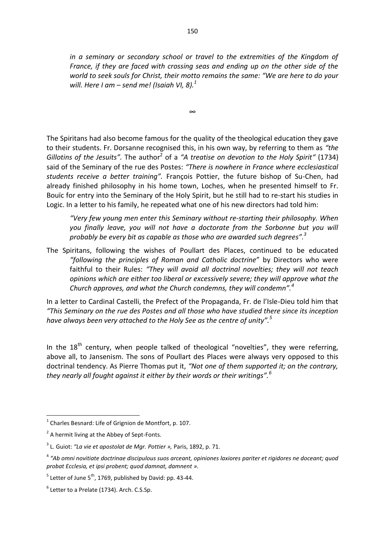*in a seminary or secondary school or travel to the extremities of the Kingdom of France, if they are faced with crossing seas and ending up on the other side of the world to seek souls for Christ, their motto remains the same: "We are here to do your*  will. Here I am – send me! (Isaiah VI, 8). $^1$ 

The Spiritans had also become famous for the quality of the theological education they gave to their students. Fr. Dorsanne recognised this, in his own way, by referring to them as *"the*  Gillotins of the Jesuits". The author<sup>2</sup> of a "A treatise on devotion to the Holy Spirit" (1734) said of the Seminary of the rue des Postes: *"There is nowhere in France where ecclesiastical students receive a better training".* François Pottier, the future bishop of Su-Chen, had already finished philosophy in his home town, Loches, when he presented himself to Fr. Bouïc for entry into the Seminary of the Holy Spirit, but he still had to re-start his studies in Logic. In a letter to his family, he repeated what one of his new directors had told him:

∞

*"Very few young men enter this Seminary without re-starting their philosophy. When you finally leave, you will not have a doctorate from the Sorbonne but you will probably be every bit as capable as those who are awarded such degrees".<sup>3</sup>* 

The Spiritans, following the wishes of Poullart des Places, continued to be educated *"following the principles of Roman and Catholic doctrine*" by Directors who were faithful to their Rules: *"They will avoid all doctrinal novelties; they will not teach opinions which are either too liberal or excessively severe; they will approve what the Church approves, and what the Church condemns, they will condemn".<sup>4</sup>* 

In a letter to Cardinal Castelli, the Prefect of the Propaganda, Fr. de l'Isle-Dieu told him that *"This Seminary on the rue des Postes and all those who have studied there since its inception have always been very attached to the Holy See as the centre of unity".<sup>5</sup>*

In the  $18<sup>th</sup>$  century, when people talked of theological "novelties", they were referring, above all, to Jansenism. The sons of Poullart des Places were always very opposed to this doctrinal tendency. As Pierre Thomas put it, *"Not one of them supported it; on the contrary, they nearly all fought against it either by their words or their writings".<sup>6</sup>* 

 1 Charles Besnard: Life of Grignion de Montfort, p. 107.

<sup>&</sup>lt;sup>2</sup> A hermit living at the Abbey of Sept-Fonts.

<sup>3</sup> L. Guiot: *"La vie et apostolat de Mgr. Pottier »,* Paris, 1892, p. 71.

<sup>&</sup>lt;sup>4</sup> "Ab omni novitiate doctrinae discipulous suos arceant, opiniones laxiores pariter et rigidores ne doceant; quod *probat Ecclesia, et ipsi probent; quod damnat, damnent ».*

 $5$  Letter of June  $5^{th}$ , 1769, published by David: pp. 43-44.

 $<sup>6</sup>$  Letter to a Prelate (1734). Arch. C.S.Sp.</sup>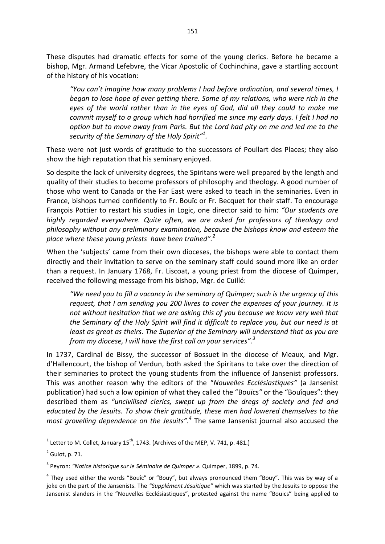These disputes had dramatic effects for some of the young clerics. Before he became a bishop, Mgr. Armand Lefebvre, the Vicar Apostolic of Cochinchina, gave a startling account of the history of his vocation:

*"You can't imagine how many problems I had before ordination, and several times, I began to lose hope of ever getting there. Some of my relations, who were rich in the eyes of the world rather than in the eyes of God, did all they could to make me commit myself to a group which had horrified me since my early days. I felt I had no option but to move away from Paris. But the Lord had pity on me and led me to the security of the Seminary of the Holy Spirit"<sup>1</sup> .* 

These were not just words of gratitude to the successors of Poullart des Places; they also show the high reputation that his seminary enjoyed.

So despite the lack of university degrees, the Spiritans were well prepared by the length and quality of their studies to become professors of philosophy and theology. A good number of those who went to Canada or the Far East were asked to teach in the seminaries. Even in France, bishops turned confidently to Fr. Bouïc or Fr. Becquet for their staff. To encourage François Pottier to restart his studies in Logic, one director said to him: *"Our students are highly regarded everywhere. Quite often, we are asked for professors of theology and philosophy without any preliminary examination, because the bishops know and esteem the place where these young priests have been trained".<sup>2</sup>*

When the 'subjects' came from their own dioceses, the bishops were able to contact them directly and their invitation to serve on the seminary staff could sound more like an order than a request. In January 1768, Fr. Liscoat, a young priest from the diocese of Quimper, received the following message from his bishop, Mgr. de Cuillé:

*"We need you to fill a vacancy in the seminary of Quimper; such is the urgency of this request, that I am sending you 200 livres to cover the expenses of your journey. It is not without hesitation that we are asking this of you because we know very well that the Seminary of the Holy Spirit will find it difficult to replace you, but our need is at least as great as theirs. The Superior of the Seminary will understand that as you are from my diocese, I will have the first call on your services".<sup>3</sup>*

In 1737, Cardinal de Bissy, the successor of Bossuet in the diocese of Meaux, and Mgr. d'Hallencourt, the bishop of Verdun, both asked the Spiritans to take over the direction of their seminaries to protect the young students from the influence of Jansenist professors. This was another reason why the editors of the "*Nouvelles Ecclésiastiques"* (a Jansenist publication) had such a low opinion of what they called the "Bouïcs*"* or the "Bouîques": they described them as *"uncivilised clerics, swept up from the dregs of society and fed and educated by the Jesuits. To show their gratitude, these men had lowered themselves to the most grovelling dependence on the Jesuits".<sup>4</sup>* The same Jansenist journal also accused the

 $\frac{1}{1}$  Letter to M. Collet, January 15<sup>th</sup>, 1743. (Archives of the MEP, V. 741, p. 481.)

 $2$  Guiot, p. 71.

<sup>3</sup> Peyron: *"Notice historique sur le Séminaire de Quimper ».* Quimper, 1899, p. 74.

<sup>&</sup>lt;sup>4</sup> They used either the words "Bouîc" or "Bouy", but always pronounced them "Bouy". This was by way of a joke on the part of the Jansenists. The *"Supplément Jésuitique"* which was started by the Jesuits to oppose the Jansenist slanders in the "Nouvelles Ecclésiastiques", protested against the name "Bouics" being applied to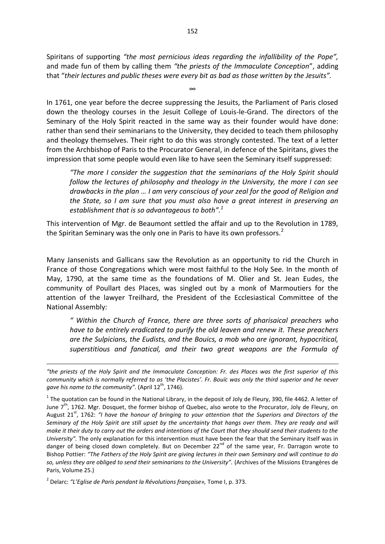Spiritans of supporting *"the most pernicious ideas regarding the infallibility of the Pope",*  and made fun of them by calling them *"the priests of the Immaculate Conception*", adding that "*their lectures and public theses were every bit as bad as those written by the Jesuits".*

∞

In 1761, one year before the decree suppressing the Jesuits, the Parliament of Paris closed down the theology courses in the Jesuit College of Louis-le-Grand. The directors of the Seminary of the Holy Spirit reacted in the same way as their founder would have done: rather than send their seminarians to the University, they decided to teach them philosophy and theology themselves. Their right to do this was strongly contested. The text of a letter from the Archbishop of Paris to the Procurator General, in defence of the Spiritans, gives the impression that some people would even like to have seen the Seminary itself suppressed:

*"The more I consider the suggestion that the seminarians of the Holy Spirit should follow the lectures of philosophy and theology in the University, the more I can see drawbacks in the plan … I am very conscious of your zeal for the good of Religion and the State, so I am sure that you must also have a great interest in preserving an establishment that is so advantageous to both". 1*

This intervention of Mgr. de Beaumont settled the affair and up to the Revolution in 1789, the Spiritan Seminary was the only one in Paris to have its own professors.<sup>2</sup>

Many Jansenists and Gallicans saw the Revolution as an opportunity to rid the Church in France of those Congregations which were most faithful to the Holy See. In the month of May, 1790, at the same time as the foundations of M. Olier and St. Jean Eudes, the community of Poullart des Places, was singled out by a monk of Marmoutiers for the attention of the lawyer Treilhard, the President of the Ecclesiastical Committee of the National Assembly:

*" Within the Church of France, there are three sorts of pharisaical preachers who have to be entirely eradicated to purify the old leaven and renew it. These preachers are the Sulpicians, the Eudists, and the Bouics, a mob who are ignorant, hypocritical, superstitious and fanatical, and their two great weapons are the Formula of* 

**.** 

*<sup>&</sup>quot;the priests of the Holy Spirit and the Immaculate Conception: Fr. des Places was the first superior of this community which is normally referred to as 'the Placistes'. Fr. Bouïc was only the third superior and he never*  gave his name to the community". (April 12<sup>th</sup>, 1746).

 $^1$  The quotation can be found in the National Library, in the deposit of Joly de Fleury, 390, file 4462. A letter of June  $7<sup>th</sup>$ , 1762. Mgr. Dosquet, the former bishop of Quebec, also wrote to the Procurator, Joly de Fleury, on August 21<sup>st</sup>, 1762: *"I have the honour of bringing to your attention that the Superiors and Directors of the Seminary of the Holy Spirit are still upset by the uncertainty that hangs over them. They are ready and will make it their duty to carry out the orders and intentions of the Court that they should send their students to the University".* The only explanation for this intervention must have been the fear that the Seminary itself was in danger of being closed down completely. But on December 22<sup>nd</sup> of the same year, Fr. Darragon wrote to Bishop Pottier: *"The Fathers of the Holy Spirit are giving lectures in their own Seminary and will continue to do so, unless they are obliged to send their seminarians to the University".* (Archives of the Missions Etrangères de Paris, Volume 25.)

<sup>2</sup> Delarc: *"L'Eglise de Paris pendant la Révolutions française»,* Tome I, p. 373.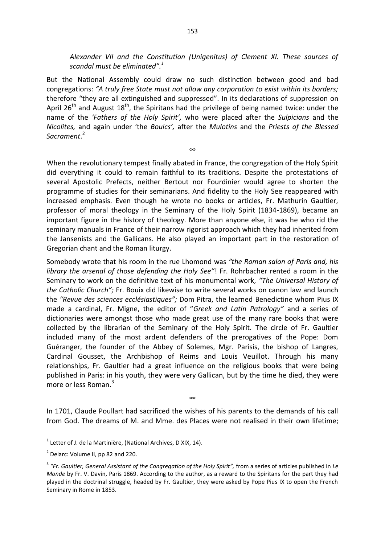*Alexander VII and the Constitution (Unigenitus) of Clement XI. These sources of scandal must be eliminated".<sup>1</sup>*

But the National Assembly could draw no such distinction between good and bad congregations: *"A truly free State must not allow any corporation to exist within its borders;*  therefore "they are all extinguished and suppressed". In its declarations of suppression on April 26<sup>th</sup> and August 18<sup>th</sup>, the Spiritans had the privilege of being named twice: under the name of the *'Fathers of the Holy Spirit',* who were placed after the *Sulpicians* and the *Nicolites,* and again under 'the *Bouics',* after the *Mulotins* and the *Priests of the Blessed Sacrament*. 2

∞

When the revolutionary tempest finally abated in France, the congregation of the Holy Spirit did everything it could to remain faithful to its traditions. Despite the protestations of several Apostolic Prefects, neither Bertout nor Fourdinier would agree to shorten the programme of studies for their seminarians. And fidelity to the Holy See reappeared with increased emphasis. Even though he wrote no books or articles, Fr. Mathurin Gaultier, professor of moral theology in the Seminary of the Holy Spirit (1834-1869), became an important figure in the history of theology. More than anyone else, it was he who rid the seminary manuals in France of their narrow rigorist approach which they had inherited from the Jansenists and the Gallicans. He also played an important part in the restoration of Gregorian chant and the Roman liturgy.

Somebody wrote that his room in the rue Lhomond was *"the Roman salon of Paris and, his library the arsenal of those defending the Holy See"*! Fr. Rohrbacher rented a room in the Seminary to work on the definitive text of his monumental work, *"The Universal History of the Catholic Church";* Fr. Bouix did likewise to write several works on canon law and launch the *"Revue des sciences ecclésiastiques";* Dom Pitra, the learned Benedictine whom Pius IX made a cardinal, Fr. Migne, the editor of "*Greek and Latin Patrology"* and a series of dictionaries were amongst those who made great use of the many rare books that were collected by the librarian of the Seminary of the Holy Spirit. The circle of Fr. Gaultier included many of the most ardent defenders of the prerogatives of the Pope: Dom Guéranger, the founder of the Abbey of Solemes, Mgr. Parisis, the bishop of Langres, Cardinal Gousset, the Archbishop of Reims and Louis Veuillot. Through his many relationships, Fr. Gaultier had a great influence on the religious books that were being published in Paris: in his youth, they were very Gallican, but by the time he died, they were more or less Roman.<sup>3</sup>

In 1701, Claude Poullart had sacrificed the wishes of his parents to the demands of his call from God. The dreams of M. and Mme. des Places were not realised in their own lifetime;

∞

**.** 

 $1$  Letter of J. de la Martinière, (National Archives, D XIX, 14).

 $2$  Delarc: Volume II, pp 82 and 220.

<sup>&</sup>lt;sup>3</sup> "Fr. Gaultier, General Assistant of the Congregation of the Holy Spirit", from a series of articles published in Le *Monde* by Fr. V. Davin, Paris 1869. According to the author, as a reward to the Spiritans for the part they had played in the doctrinal struggle, headed by Fr. Gaultier, they were asked by Pope Pius IX to open the French Seminary in Rome in 1853.